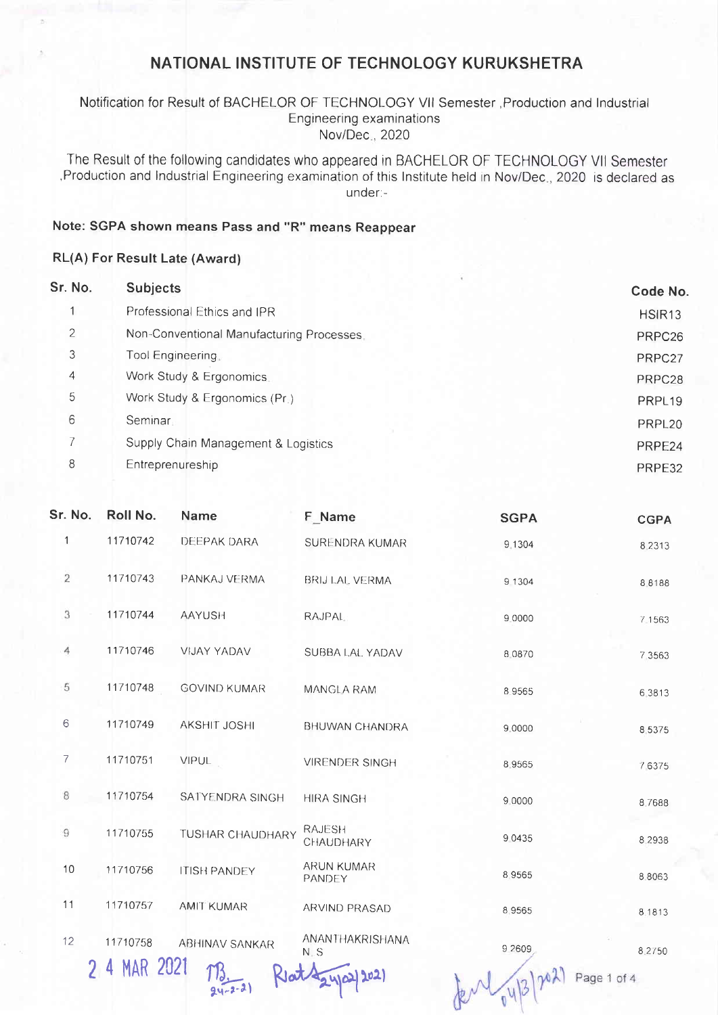## NATIONAL INSTITUTE OF TECHNOLOGY KURUKSHETRA

#### Notification for Result of BACHELOR OF TECHNOLOGY Vll Semester ,Production and lndustrial Engineering examinations Nov/Dec., 2020

The Result of the following candidates who appeared in BACHELOR OF TECHNOLOGY Vll Semester Production and Industrial Engineering examination of this Institute held in Nov/Dec., 2020 is declared as under:-

### Note: SGPA shown means Pass and "R" means Reappear

#### RL(A) For Result Late (Award)

| Sr. No.        | <b>Subjects</b>                           | Code No.           |
|----------------|-------------------------------------------|--------------------|
|                | Professional Ethics and IPR               | HSIR <sub>13</sub> |
| $\overline{2}$ | Non-Conventional Manufacturing Processes. | PRPC <sub>26</sub> |
| 3              | Tool Engineering.                         | PRPC27             |
| 4              | Work Study & Ergonomics.                  | PRPC28             |
| 5              | Work Study & Ergonomics (Pr.)             | PRPL <sub>19</sub> |
| 6              | Seminar <sub>1</sub>                      | PRPL <sub>20</sub> |
|                | Supply Chain Management & Logistics       | PRPE24             |
| 8              | Entreprenureship                          | PRPE32             |

| Sr. No.        | Roll No.     | <b>Name</b>             | F Name                             | <b>SGPA</b> | <b>CGPA</b> |
|----------------|--------------|-------------------------|------------------------------------|-------------|-------------|
| $\mathbf{1}$   | 11710742     | DEEPAK DARA             | SURENDRA KUMAR                     | 9.1304      | 8 2 3 1 3   |
| $\overline{c}$ | 11710743     | PANKAJ VERMA            | <b>BRIJ LAL VERMA</b>              | 9 1304      | 8 8 1 8 8   |
| 3              | 11710744     | <b>AAYUSH</b>           | <b>RAJPAL</b>                      | 9.0000      | 7 1 5 6 3   |
| 4              | 11710746     | VIJAY YADAV             | SUBBA LAL YADAV                    | 8.0870      | 7.3563      |
| 5              | 11710748     | <b>GOVIND KUMAR</b>     | MANGLA RAM                         | 8.9565      | 6 3813      |
| 6              | 11710749     | AKSHIT JOSHI            | <b>BHUWAN CHANDRA</b>              | 9.0000      | 8 5 3 7 5   |
| 7              | 11710751     | <b>VIPUL</b>            | <b>VIRENDER SINGH</b>              | 8.9565      | 76375       |
| 8              | 11710754     | SATYENDRA SINGH         | <b>HIRA SINGH</b>                  | 9.0000      | 8.7688      |
| 9              | 11710755     | <b>TUSHAR CHAUDHARY</b> | <b>RAJESH</b><br>CHAUDHARY         | 9 0 4 3 5   | 8 2 9 3 8   |
| 10             | 11710756     | <b>ITISH PANDEY</b>     | <b>ARUN KUMAR</b><br><b>PANDEY</b> | 8.9565      | 8 8 0 6 3   |
| 11             | 11710757     | <b>AMIT KUMAR</b>       | ARVIND PRASAD                      | 8.9565      | 8.1813      |
| 12             | 11710758     | <b>ABHINAV SANKAR</b>   | ANANTHAKRISHANA<br>N.S             | 9 2609      | 8.2/50      |
|                | 2 4 MAR 2021 |                         |                                    | y 31        | Page 1 of 4 |

 $\theta$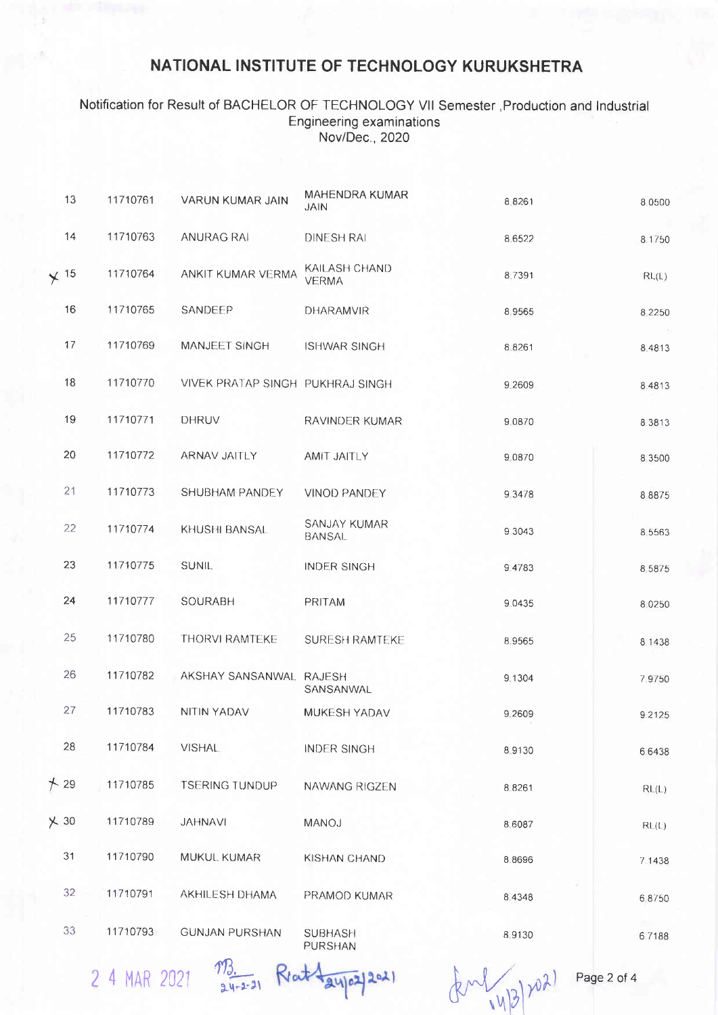## NATIONAL INSTITUTE OF TECHNOLOGY KURUKSHETRA

#### Notification for Result of BACHELOR OF TECHNOLOGY Vll Semester ,Production and lndustrial Engineering examinations Nov/Dec., 2020

|             | 13 | 11710761 | VARUN KUMAR JAIN                 | <b>MAHENDRA KUMAR</b><br><b>JAIN</b> | 8.8261    | 8 0 5 0 0                 |
|-------------|----|----------|----------------------------------|--------------------------------------|-----------|---------------------------|
|             | 14 | 11710763 | <b>ANURAG RAI</b>                | <b>DINESH RAI</b>                    | 8 6 5 2 2 | 8 1750                    |
| $\times$ 15 |    | 11710764 | ANKIT KUMAR VERMA                | KAILASH CHAND<br><b>VERMA</b>        | 8.7391    | RL(L)                     |
|             | 16 | 11710765 | SANDEEP                          | DHARAMVIR                            | 8.9565    | 8 2 2 5 0                 |
|             | 17 | 11710769 | MANJEET SINGH                    | <b>ISHWAR SINGH</b>                  | 8 8 2 6 1 | 8 4 8 1 3                 |
|             | 18 | 11710770 | VIVEK PRATAP SINGH PUKHRAJ SINGH |                                      | 9.2609    | 8 4 8 1 3                 |
|             | 19 | 11710771 | <b>DHRUV</b>                     | RAVINDER KUMAR                       | 9 0 8 7 0 | 8 3 8 1 3                 |
|             | 20 | 11710772 | ARNAV JAITLY                     | AMIT JAITLY                          | 9 08 7 0  | 8 3 5 0 0                 |
|             | 21 | 11710773 | SHUBHAM PANDEY                   | <b>VINOD PANDEY</b>                  | 9 3 4 7 8 | 88875                     |
|             | 22 | 11710774 | KHUSHI BANSAL                    | SANJAY KUMAR<br><b>BANSAL</b>        | 9 3 0 4 3 | 8 5 5 6 3                 |
|             | 23 | 11710775 | <b>SUNIL</b>                     | <b>INDER SINGH</b>                   | 9.4783    | 8 5 8 7 5                 |
|             | 24 | 11710777 | SOURABH                          | PRITAM                               | 9 0 4 3 5 | 8.0250                    |
|             | 25 | 11710780 | THORVI RAMTEKE                   | <b>SURESH RAMTEKE</b>                | 8 9 5 6 5 | 8 1438                    |
|             | 26 | 11710782 | AKSHAY SANSANWAL RAJESH          | SANSANWAL                            | 9.1304    | 7.9750                    |
|             | 27 | 11710783 | NITIN YADAV                      | MUKESH YADAV                         | 9.2609    | 9 2 1 2 5                 |
|             | 28 | 11710784 | <b>VISHAL</b>                    | <b>INDER SINGH</b>                   | 8.9130    | 66438                     |
| $+29$       |    | 11710785 | <b>TSERING TUNDUP</b>            | NAWANG RIGZEN                        | 8.8261    | $\mathsf{RL}(\mathsf{L})$ |
| $\times$ 30 |    | 11710789 | <b>JAHNAVI</b>                   | MANOJ                                | 8,6087    | RL(L)                     |
|             | 31 | 11710790 | MUKUL KUMAR                      | KISHAN CHAND                         | 8.8696    | 7 1438                    |
|             | 32 | 11710791 | AKHILESH DHAMA                   | PRAMOD KUMAR                         | 8.4348    | 68750                     |
|             | 33 | 11710793 | <b>GUNJAN PURSHAN</b>            | <b>SUBHASH</b><br>PURSHAN            | 8 9130    | 6.7188                    |

2 4 MAR 2021  $\frac{103}{94.25}$ 

 $(x^{11/18})^{102}$ 

Page 2 of 4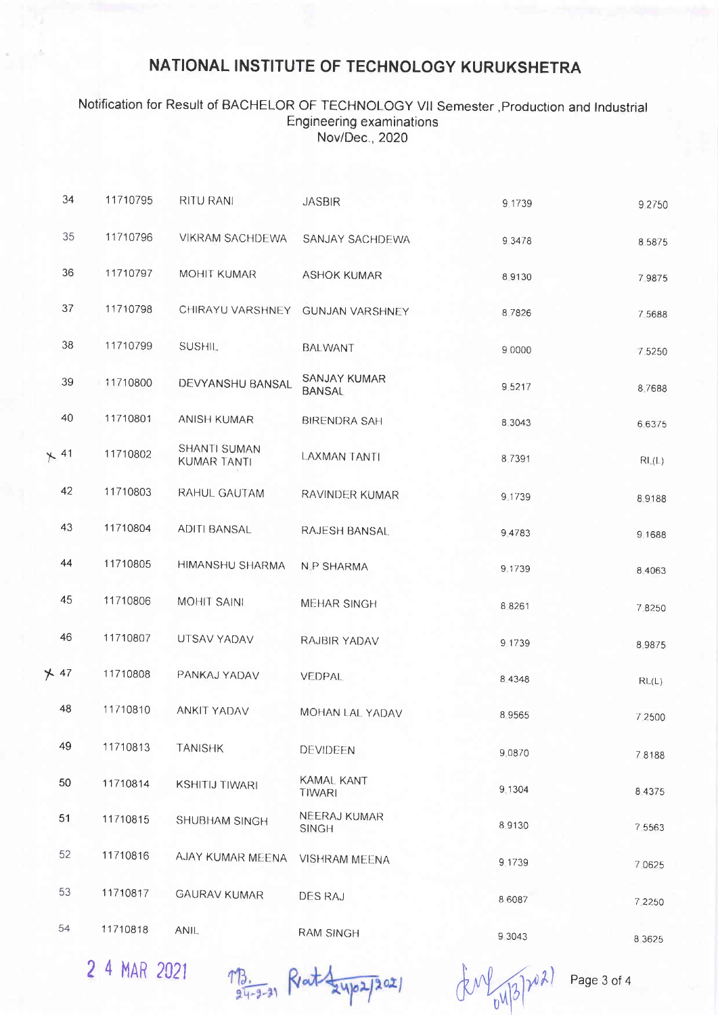# NATIONAL INSTITUTE OF TECHNOLOGY KURUKSHETRA

### Notification for Result of BACHELOR OF TECHNOLOGY VII Semester , Production and Industrial **Engineering examinations** Nov/Dec., 2020

| 34          | 11710795 | RITU RANI                   | <b>JASBIR</b>                      | 9.1739    | 9.2750    |
|-------------|----------|-----------------------------|------------------------------------|-----------|-----------|
| 35          | 11710796 | VIKRAM SACHDEWA             | SANJAY SACHDEWA                    | 9 3 4 7 8 | 85875     |
| 36          | 11710797 | <b>MOHIT KUMAR</b>          | <b>ASHOK KUMAR</b>                 | 8.9130    | 7.9875    |
| 37          | 11710798 | CHIRAYU VARSHNEY            | <b>GUNJAN VARSHNEY</b>             | 8 7826    | 7.5688    |
| 38          | 11710799 | SUSHIL.                     | <b>BALWANT</b>                     | 9 0000    | 7.5250    |
| 39          | 11710800 | DEVYANSHU BANSAL            | SANJAY KUMAR<br><b>BANSAL</b>      | 9,5217    | 8.7688    |
| 40          | 11710801 | <b>ANISH KUMAR</b>          | <b>BIRENDRA SAH</b>                | 8.3043    | 6 6 3 7 5 |
| $\times$ 41 | 11710802 | SHANTI SUMAN<br>KUMAR TANTI | <b>LAXMAN TANTI</b>                | 8.7391    | RL(L)     |
| 42          | 11710803 | RAHUL GAUTAM                | RAVINDER KUMAR                     | 9.1739    | 8.9188    |
| 43          | 11710804 | <b>ADITI BANSAL</b>         | RAJESH BANSAL                      | 9.4783    | 9.1688    |
| 44          | 11710805 | <b>HIMANSHU SHARMA</b>      | <b>N.P SHARMA</b>                  | 9.1739    | 8.4063    |
| 45          | 11710806 | <b>MOHIT SAINI</b>          | <b>MEHAR SINGH</b>                 | 8 8 2 6 1 | 7.8250    |
| 46          | 11710807 | UTSAV YADAV                 | RAJBIR YADAV                       | 9 1739    | 89875     |
| $\times$ 47 | 11710808 | PANKAJ YADAV                | VEDPAL                             | 8 4 3 4 8 | RL(L)     |
| 48          | 11710810 | ANKIT YADAV                 | MOHAN LAL YADAV                    | 8 9 5 6 5 | 7 2500    |
| 49          | 11710813 | <b>TANISHK</b>              | DEVIDEEN                           | 9.0870    | 78188     |
| 50          | 11710814 | <b>KSHITIJ TIWARI</b>       | <b>KAMAL KANT</b><br><b>TIWARI</b> | 9.1304    | 8 4 3 7 5 |
| 51          | 11710815 | SHUBHAM SINGH               | NEERAJ KUMAR<br><b>SINGH</b>       | 8.9130    | 7 5 5 6 3 |
| 52          | 11710816 | AJAY KUMAR MEENA            | <b>VISHRAM MEENA</b>               | 9.1739    | 7 0 6 2 5 |
| 53          | 11710817 | <b>GAURAV KUMAR</b>         | <b>DES RAJ</b>                     | 8.6087    | 7 2250    |
| 54          | 11710818 | ANIL.                       | <b>RAM SINGH</b>                   | 9.3043    | 8.3625    |

2 4 MAR 2021

MB. Rat 24/02/2021

(KM) 04/3/2021

Page 3 of 4